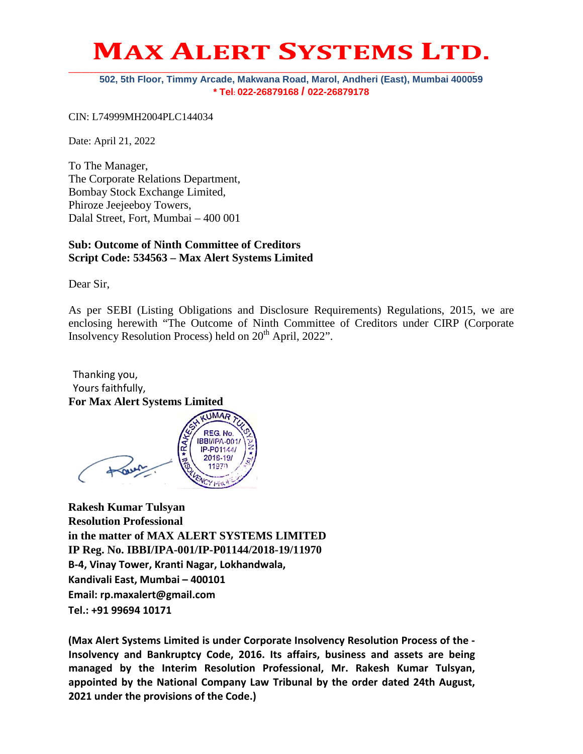## **MAX ALERT SYSTEMS LTD.**

#### **502, 5th Floor, Timmy Arcade, Makwana Road, Marol, Andheri (East), Mumbai 400059 \* Tel: 022-26879168 / 022-26879178**

CIN: L74999MH2004PLC144034

Date: April 21, 2022

To The Manager, The Corporate Relations Department, Bombay Stock Exchange Limited, Phiroze Jeejeeboy Towers, Dalal Street, Fort, Mumbai – 400 001

#### **Sub: Outcome of Ninth Committee of Creditors Script Code: 534563 – Max Alert Systems Limited**

Dear Sir,

As per SEBI (Listing Obligations and Disclosure Requirements) Regulations, 2015, we are enclosing herewith "The Outcome of Ninth Committee of Creditors under CIRP (Corporate Insolvency Resolution Process) held on  $20<sup>th</sup>$  April, 2022".

Thanking you, Yours faithfully, **For Max Alert Systems Limited**

**UMAR REG.No.** IBBI/IPA-001/ IP-P01144/ 2018-19/

**Rakesh Kumar Tulsyan Resolution Professional in the matter of MAX ALERT SYSTEMS LIMITED IP Reg. No. IBBI/IPA-001/IP-P01144/2018-19/11970 B-4, Vinay Tower, Kranti Nagar, Lokhandwala, Kandivali East, Mumbai – 400101 Email: rp.maxalert@gmail.com Tel.: +91 99694 10171**

**(Max Alert Systems Limited is under Corporate Insolvency Resolution Process of the - Insolvency and Bankruptcy Code, 2016. Its affairs, business and assets are being managed by the Interim Resolution Professional, Mr. Rakesh Kumar Tulsyan, appointed by the National Company Law Tribunal by the order dated 24th August, 2021 under the provisions of the Code.)**